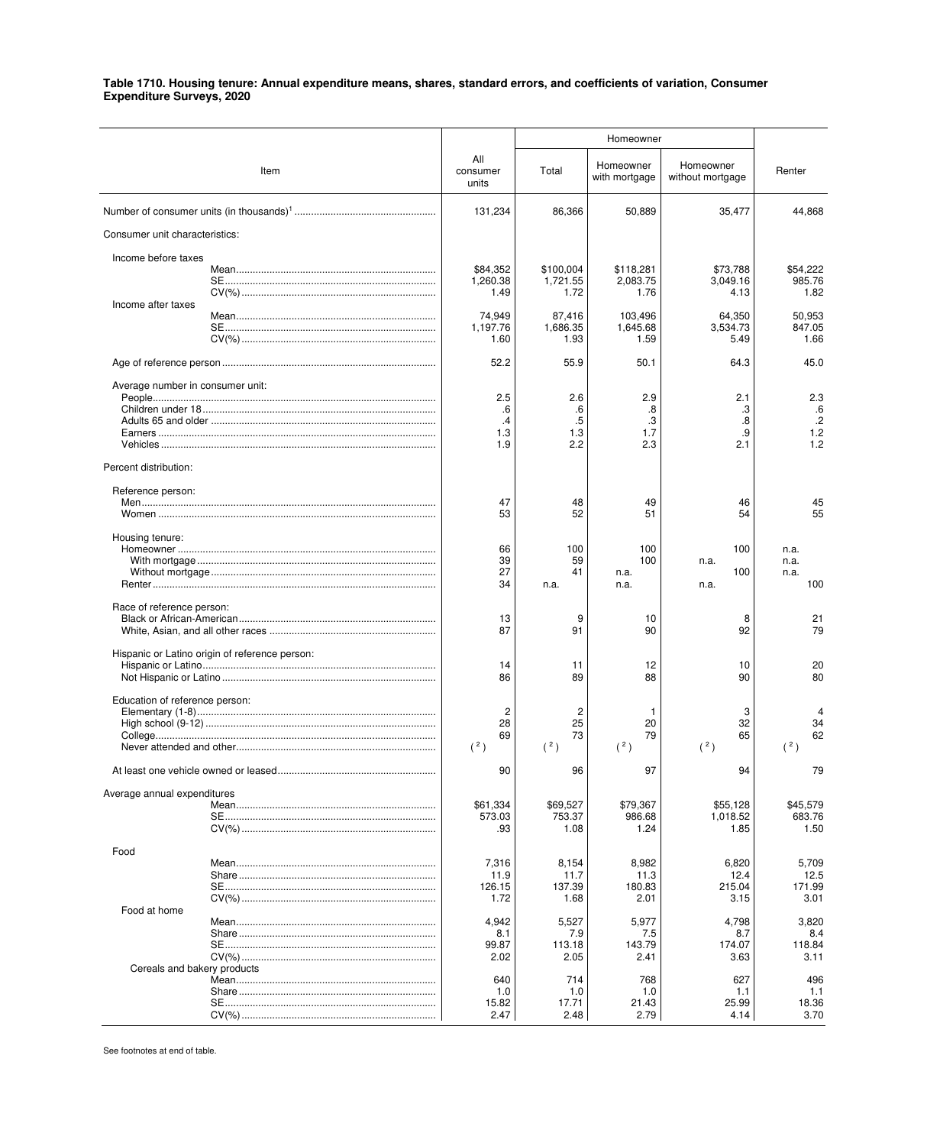| Item                                           | All<br>consumer<br>units          | Total                             | Homeowner<br>with mortgage    | Homeowner<br>without mortgage | Renter                              |
|------------------------------------------------|-----------------------------------|-----------------------------------|-------------------------------|-------------------------------|-------------------------------------|
|                                                | 131,234                           | 86,366                            | 50,889                        | 35,477                        | 44,868                              |
| Consumer unit characteristics:                 |                                   |                                   |                               |                               |                                     |
| Income before taxes                            |                                   |                                   |                               |                               |                                     |
| Income after taxes                             | \$84.352<br>1,260.38<br>1.49      | \$100.004<br>1,721.55<br>1.72     | \$118,281<br>2,083.75<br>1.76 | \$73.788<br>3,049.16<br>4.13  | \$54,222<br>985.76<br>1.82          |
|                                                | 74.949<br>1.197.76<br>1.60        | 87,416<br>1,686.35<br>1.93        | 103,496<br>1,645.68<br>1.59   | 64,350<br>3,534.73<br>5.49    | 50,953<br>847.05<br>1.66            |
|                                                | 52.2                              | 55.9                              | 50.1                          | 64.3                          | 45.0                                |
| Average number in consumer unit:               | 2.5                               | 2.6                               | 2.9                           | 2.1                           | 2.3                                 |
|                                                | .6<br>$\cdot$<br>1.3<br>1.9       | .6<br>.5<br>1.3<br>2.2            | .8<br>.3<br>1.7<br>2.3        | .3<br>.8<br>.9<br>2.1         | .6<br>$.2\phantom{0}$<br>1.2<br>1.2 |
| Percent distribution:                          |                                   |                                   |                               |                               |                                     |
| Reference person:                              | 47<br>53                          | 48<br>52                          | 49<br>51                      | 46<br>54                      | 45<br>55                            |
| Housing tenure:                                | 66<br>39<br>27<br>34              | 100<br>59<br>41<br>n.a.           | 100<br>100<br>n.a.<br>n.a.    | 100<br>n.a.<br>100<br>n.a.    | n.a.<br>n.a.<br>n.a.<br>100         |
| Race of reference person:                      | 13<br>87                          | 9<br>91                           | 10<br>90                      | 8<br>92                       | 21<br>79                            |
| Hispanic or Latino origin of reference person: | 14<br>86                          | 11<br>89                          | 12<br>88                      | 10<br>90                      | 20<br>80                            |
| Education of reference person:                 | $\overline{c}$<br>28<br>69<br>(2) | $\overline{c}$<br>25<br>73<br>(2) | 20<br>79<br>(2)               | 3<br>32<br>65<br>(2)          | 34<br>62<br>(2)                     |
|                                                | 90                                | 96                                | 97                            | 94                            | 79                                  |
| Average annual expenditures                    | \$61,334<br>573.03<br>.93         | \$69,527<br>753.37<br>1.08        | \$79,367<br>986.68<br>1.24    | \$55,128<br>1,018.52<br>1.85  | \$45,579<br>683.76<br>1.50          |
| Food                                           | 7,316                             | 8,154                             | 8,982                         | 6,820                         | 5,709                               |
|                                                | 11.9<br>126.15<br>1.72            | 11.7<br>137.39<br>1.68            | 11.3<br>180.83<br>2.01        | 12.4<br>215.04<br>3.15        | 12.5<br>171.99<br>3.01              |
| Food at home                                   | 4,942                             | 5,527                             | 5,977                         | 4,798                         | 3,820                               |
|                                                | 8.1<br>99.87<br>2.02              | 7.9<br>113.18<br>2.05             | 7.5<br>143.79<br>2.41         | 8.7<br>174.07<br>3.63         | 8.4<br>118.84<br>3.11               |
| Cereals and bakery products                    | 640<br>1.0<br>15.82<br>2.47       | 714<br>1.0<br>17.71<br>2.48       | 768<br>1.0<br>21.43<br>2.79   | 627<br>1.1<br>25.99<br>4.14   | 496<br>1.1<br>18.36<br>3.70         |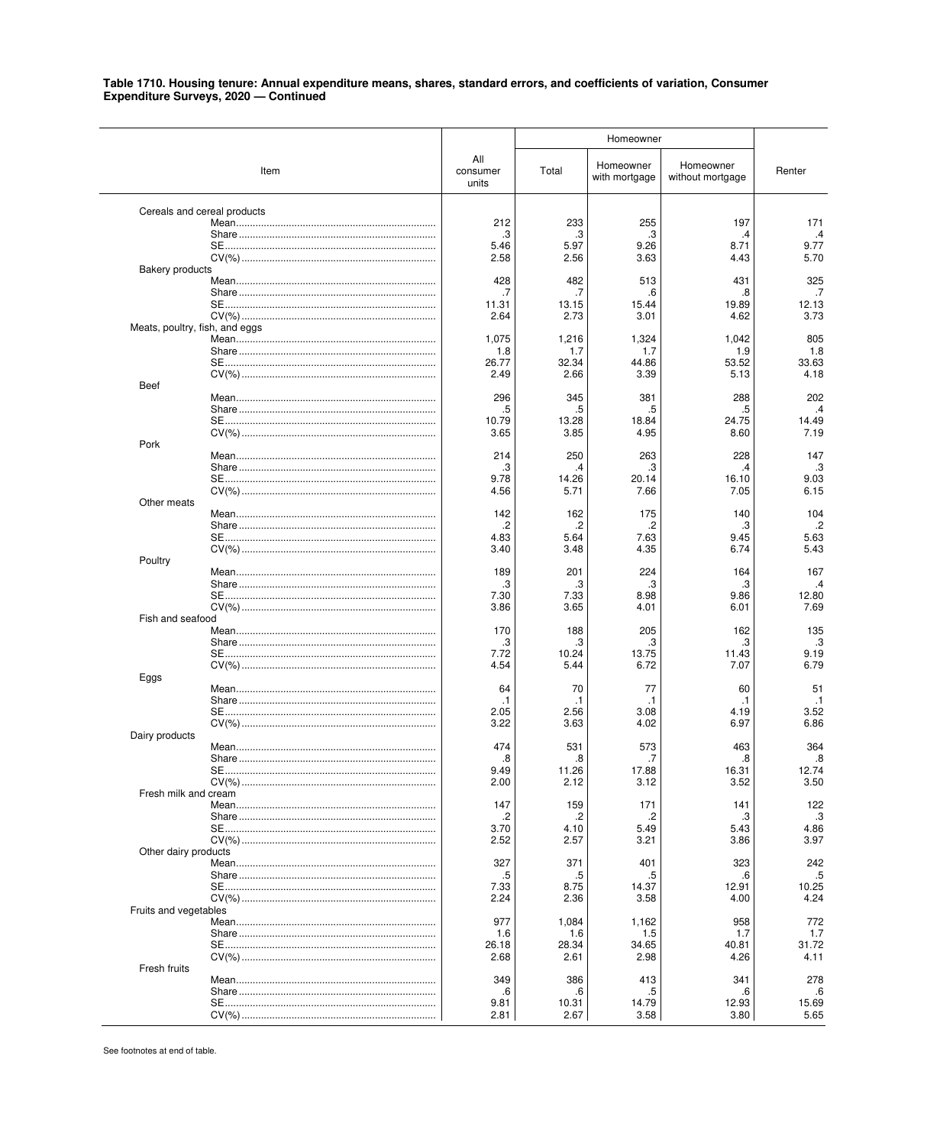|                                |                             |                          | Homeowner     |                            |                               |               |
|--------------------------------|-----------------------------|--------------------------|---------------|----------------------------|-------------------------------|---------------|
|                                | Item                        | All<br>consumer<br>units | Total         | Homeowner<br>with mortgage | Homeowner<br>without mortgage | Renter        |
|                                | Cereals and cereal products |                          |               |                            |                               |               |
|                                |                             | 212                      | 233           | 255                        | 197                           | 171           |
|                                |                             | .3<br>5.46               | .3<br>5.97    | .3<br>9.26                 | .4<br>8.71                    | .4<br>9.77    |
|                                |                             | 2.58                     | 2.56          | 3.63                       | 4.43                          | 5.70          |
| <b>Bakery products</b>         |                             |                          |               |                            |                               |               |
|                                |                             | 428                      | 482           | 513                        | 431                           | 325           |
|                                |                             | .7                       | .7            | .6                         | 8.                            | .7            |
|                                |                             | 11.31<br>2.64            | 13.15<br>2.73 | 15.44<br>3.01              | 19.89<br>4.62                 | 12.13<br>3.73 |
| Meats, poultry, fish, and eggs |                             |                          |               |                            |                               |               |
|                                |                             | 1,075                    | 1,216         | 1,324                      | 1,042                         | 805           |
|                                |                             | 1.8                      | 1.7           | 1.7                        | 1.9                           | 1.8           |
|                                |                             | 26.77<br>2.49            | 32.34<br>2.66 | 44.86<br>3.39              | 53.52<br>5.13                 | 33.63<br>4.18 |
| Beef                           |                             |                          |               |                            |                               |               |
|                                |                             | 296                      | 345           | 381                        | 288                           | 202           |
|                                |                             | .5                       | .5            | .5                         | .5                            | $\cdot$       |
|                                |                             | 10.79<br>3.65            | 13.28<br>3.85 | 18.84<br>4.95              | 24.75<br>8.60                 | 14.49<br>7.19 |
| Pork                           |                             |                          |               |                            |                               |               |
|                                |                             | 214                      | 250           | 263                        | 228                           | 147           |
|                                |                             | .3                       | .4            | .3                         | 4                             | .3            |
|                                |                             | 9.78<br>4.56             | 14.26<br>5.71 | 20.14<br>7.66              | 16.10<br>7.05                 | 9.03<br>6.15  |
| Other meats                    |                             |                          |               |                            |                               |               |
|                                |                             | 142                      | 162           | 175                        | 140                           | 104           |
|                                |                             | .2                       | .2            | .2                         | .3                            | $\cdot$       |
|                                |                             | 4.83<br>3.40             | 5.64<br>3.48  | 7.63<br>4.35               | 9.45<br>6.74                  | 5.63<br>5.43  |
| Poultry                        |                             |                          |               |                            |                               |               |
|                                |                             | 189                      | 201           | 224                        | 164                           | 167           |
|                                |                             | .3                       | .3            | .3                         | .3                            | .4            |
|                                |                             | 7.30<br>3.86             | 7.33<br>3.65  | 8.98<br>4.01               | 9.86<br>6.01                  | 12.80<br>7.69 |
| Fish and seafood               |                             |                          |               |                            |                               |               |
|                                |                             | 170                      | 188           | 205                        | 162                           | 135           |
|                                |                             | .3                       | .3            | .3                         | .3                            | .3            |
|                                |                             | 7.72<br>4.54             | 10.24<br>5.44 | 13.75<br>6.72              | 11.43<br>7.07                 | 9.19<br>6.79  |
| Eggs                           |                             |                          |               |                            |                               |               |
|                                |                             | 64                       | 70            | 77                         | 60                            | 51            |
|                                |                             | $\cdot$ 1                | $\cdot$ 1     | .1                         | .1                            | $\cdot$ 1     |
|                                |                             | 2.05<br>3.22             | 2.56<br>3.63  | 3.08<br>4.02               | 4.19<br>6.97                  | 3.52<br>6.86  |
| Dairy products                 |                             |                          |               |                            |                               |               |
|                                |                             | 474                      | 531           | 573                        | 463                           | 364           |
|                                |                             | .8                       | .8            | .7                         | .8                            | .8            |
|                                |                             | 9.49<br>2.00             | 11.26<br>2.12 | 17.88<br>3.12              | 16.31<br>3.52                 | 12.74<br>3.50 |
| Fresh milk and cream           |                             |                          |               |                            |                               |               |
|                                |                             | 147                      | 159           | 171                        | 141                           | 122           |
|                                |                             | .2                       | .2            | .2                         | .3                            | .3            |
|                                |                             | 3.70<br>2.52             | 4.10<br>2.57  | 5.49<br>3.21               | 5.43<br>3.86                  | 4.86<br>3.97  |
| Other dairy products           |                             |                          |               |                            |                               |               |
|                                |                             | 327                      | 371           | 401                        | 323                           | 242           |
|                                |                             | .5                       | .5            | .5                         | .6                            | .5            |
|                                |                             | 7.33<br>2.24             | 8.75<br>2.36  | 14.37<br>3.58              | 12.91<br>4.00                 | 10.25<br>4.24 |
| Fruits and vegetables          |                             |                          |               |                            |                               |               |
|                                |                             | 977                      | 1,084         | 1,162                      | 958                           | 772           |
|                                |                             | 1.6                      | 1.6           | 1.5                        | 1.7                           | 1.7           |
|                                |                             | 26.18<br>2.68            | 28.34<br>2.61 | 34.65<br>2.98              | 40.81<br>4.26                 | 31.72<br>4.11 |
| Fresh fruits                   |                             |                          |               |                            |                               |               |
|                                |                             | 349                      | 386           | 413                        | 341                           | 278           |
|                                |                             | .6                       | .6            | .5                         | .6                            | .6            |
|                                |                             | 9.81                     | 10.31         | 14.79                      | 12.93                         | 15.69<br>5.65 |
|                                |                             | 2.81                     | 2.67          | 3.58                       | 3.80                          |               |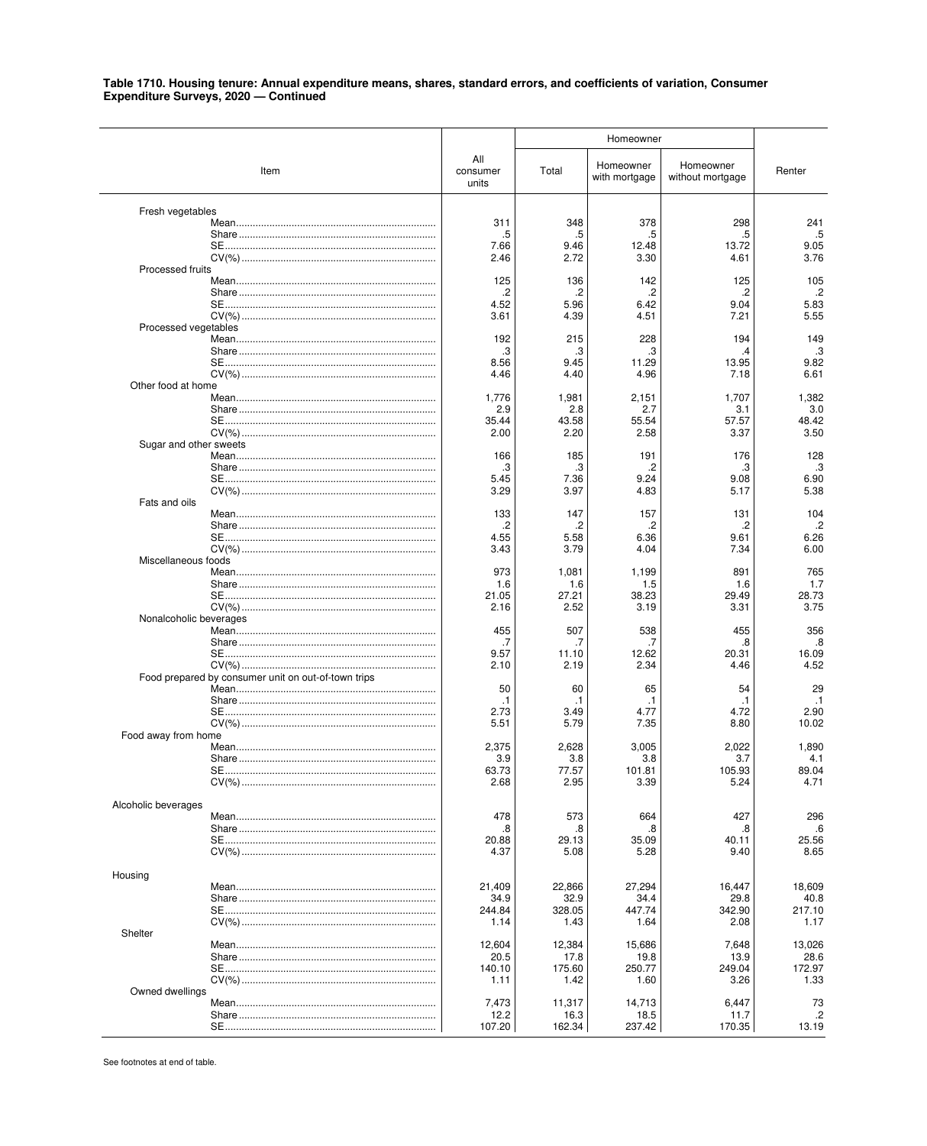|                        |                                                     |                          | Homeowner      |                            |                               |                |
|------------------------|-----------------------------------------------------|--------------------------|----------------|----------------------------|-------------------------------|----------------|
|                        | Item                                                | All<br>consumer<br>units | Total          | Homeowner<br>with mortgage | Homeowner<br>without mortgage | Renter         |
| Fresh vegetables       |                                                     |                          |                |                            |                               |                |
|                        |                                                     | 311                      | 348            | 378                        | 298                           | 241            |
|                        |                                                     | .5<br>7.66               | .5<br>9.46     | .5<br>12.48                | .5<br>13.72                   | .5<br>9.05     |
|                        |                                                     | 2.46                     | 2.72           | 3.30                       | 4.61                          | 3.76           |
| Processed fruits       |                                                     |                          |                |                            |                               |                |
|                        |                                                     | 125<br>.2                | 136<br>.2      | 142<br>.2                  | 125<br>.2                     | 105<br>$\cdot$ |
|                        |                                                     | 4.52                     | 5.96           | 6.42                       | 9.04                          | 5.83           |
|                        |                                                     | 3.61                     | 4.39           | 4.51                       | 7.21                          | 5.55           |
| Processed vegetables   |                                                     | 192                      | 215            | 228                        | 194                           | 149            |
|                        |                                                     | .3                       | .3             | .3                         | .4                            | .3             |
|                        |                                                     | 8.56                     | 9.45           | 11.29                      | 13.95                         | 9.82           |
|                        |                                                     | 4.46                     | 4.40           | 4.96                       | 7.18                          | 6.61           |
| Other food at home     |                                                     | 1,776                    | 1,981          | 2,151                      | 1,707                         | 1,382          |
|                        |                                                     | 2.9                      | 2.8            | 2.7                        | 3.1                           | 3.0            |
|                        |                                                     | 35.44                    | 43.58          | 55.54                      | 57.57                         | 48.42          |
|                        |                                                     | 2.00                     | 2.20           | 2.58                       | 3.37                          | 3.50           |
| Sugar and other sweets |                                                     | 166                      | 185            | 191                        | 176                           | 128            |
|                        |                                                     | .3                       | .3             | .2                         | .3                            | .3             |
|                        |                                                     | 5.45                     | 7.36           | 9.24                       | 9.08                          | 6.90           |
|                        |                                                     | 3.29                     | 3.97           | 4.83                       | 5.17                          | 5.38           |
| Fats and oils          |                                                     | 133                      | 147            | 157                        | 131                           | 104            |
|                        |                                                     | .2                       | .2             | .2                         | .2                            | $\cdot$        |
|                        |                                                     | 4.55                     | 5.58           | 6.36                       | 9.61                          | 6.26           |
|                        |                                                     | 3.43                     | 3.79           | 4.04                       | 7.34                          | 6.00           |
| Miscellaneous foods    |                                                     | 973                      | 1,081          | 1,199                      | 891                           | 765            |
|                        |                                                     | 1.6                      | 1.6            | 1.5                        | 1.6                           | 1.7            |
|                        |                                                     | 21.05                    | 27.21          | 38.23                      | 29.49                         | 28.73          |
|                        |                                                     | 2.16                     | 2.52           | 3.19                       | 3.31                          | 3.75           |
| Nonalcoholic beverages |                                                     | 455                      | 507            | 538                        | 455                           | 356            |
|                        |                                                     | .7                       | .7             | .7                         | 8.                            | .8             |
|                        |                                                     | 9.57                     | 11.10          | 12.62                      | 20.31                         | 16.09          |
|                        |                                                     | 2.10                     | 2.19           | 2.34                       | 4.46                          | 4.52           |
|                        | Food prepared by consumer unit on out-of-town trips | 50                       | 60             | 65                         | 54                            | 29             |
|                        |                                                     | $\cdot$ 1                | .1             | $\cdot$ 1                  | .1                            | $\cdot$ 1      |
|                        |                                                     | 2.73                     | 3.49           | 4.77                       | 4.72                          | 2.90           |
| Food away from home    |                                                     | 5.51                     | 5.79           | 7.35                       | 8.80                          | 10.02          |
|                        |                                                     | 2,375                    | 2,628          | 3,005                      | 2.022                         | 1,890          |
|                        |                                                     | 3.9                      | 3.8            | 3.8                        | 3.7                           | 4.1            |
|                        |                                                     | 63.73                    | 77.57          | 101.81                     | 105.93                        | 89.04          |
|                        |                                                     | 2.68                     | 2.95           | 3.39                       | 5.24                          | 4.71           |
| Alcoholic beverages    |                                                     |                          |                |                            |                               |                |
|                        |                                                     | 478                      | 573            | 664                        | 427                           | 296            |
|                        |                                                     | .8<br>20.88              | .8<br>29.13    | .8<br>35.09                | .8<br>40.11                   | .6<br>25.56    |
|                        |                                                     | 4.37                     | 5.08           | 5.28                       | 9.40                          | 8.65           |
|                        |                                                     |                          |                |                            |                               |                |
| Housing                |                                                     |                          |                |                            |                               |                |
|                        |                                                     | 21,409<br>34.9           | 22,866<br>32.9 | 27,294<br>34.4             | 16,447<br>29.8                | 18,609<br>40.8 |
|                        |                                                     | 244.84                   | 328.05         | 447.74                     | 342.90                        | 217.10         |
|                        |                                                     | 1.14                     | 1.43           | 1.64                       | 2.08                          | 1.17           |
| Shelter                |                                                     |                          |                |                            |                               |                |
|                        |                                                     | 12,604<br>20.5           | 12,384<br>17.8 | 15,686<br>19.8             | 7,648<br>13.9                 | 13,026<br>28.6 |
|                        |                                                     | 140.10                   | 175.60         | 250.77                     | 249.04                        | 172.97         |
|                        |                                                     | 1.11                     | 1.42           | 1.60                       | 3.26                          | 1.33           |
| Owned dwellings        |                                                     |                          |                |                            |                               |                |
|                        |                                                     | 7,473<br>12.2            | 11,317<br>16.3 | 14,713<br>18.5             | 6,447<br>11.7                 | 73<br>.2       |
|                        |                                                     | 107.20                   | 162.34         | 237.42                     | 170.35                        | 13.19          |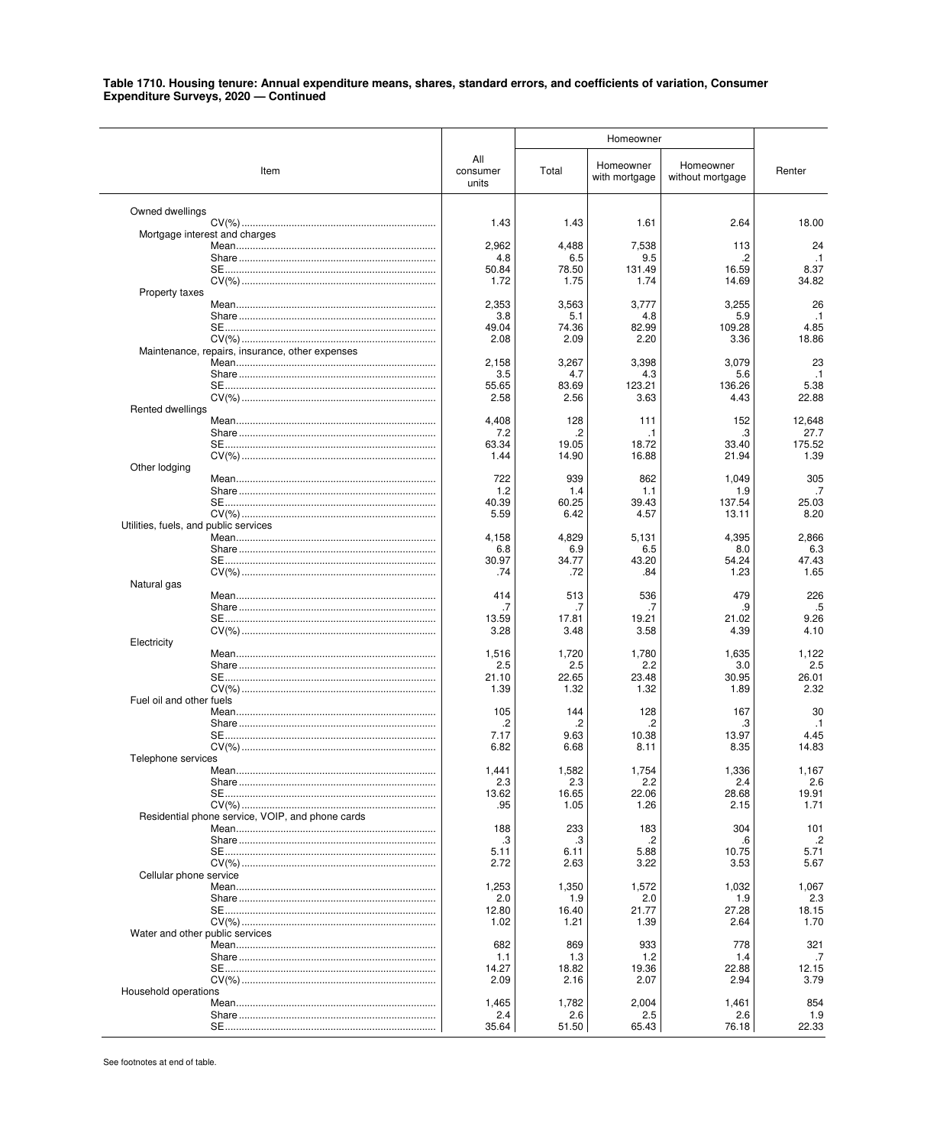|                                       |                                                  |                          | Homeowner     |                            |                               |                   |
|---------------------------------------|--------------------------------------------------|--------------------------|---------------|----------------------------|-------------------------------|-------------------|
|                                       | Item                                             | All<br>consumer<br>units | Total         | Homeowner<br>with mortgage | Homeowner<br>without mortgage | Renter            |
| Owned dwellings                       |                                                  |                          |               |                            |                               |                   |
|                                       | Mortgage interest and charges                    | 1.43                     | 1.43          | 1.61                       | 2.64                          | 18.00             |
|                                       |                                                  | 2,962                    | 4,488         | 7,538                      | 113                           | 24                |
|                                       |                                                  | 4.8<br>50.84             | 6.5<br>78.50  | 9.5<br>131.49              | 16.59                         | $\cdot$ 1<br>8.37 |
|                                       |                                                  | 1.72                     | 1.75          | 1.74                       | 14.69                         | 34.82             |
| Property taxes                        |                                                  |                          |               |                            |                               |                   |
|                                       |                                                  | 2,353<br>3.8             | 3,563<br>5.1  | 3,777<br>4.8               | 3,255<br>5.9                  | 26<br>$\cdot$ 1   |
|                                       |                                                  | 49.04                    | 74.36         | 82.99                      | 109.28                        | 4.85              |
|                                       | Maintenance, repairs, insurance, other expenses  | 2.08                     | 2.09          | 2.20                       | 3.36                          | 18.86             |
|                                       |                                                  | 2,158                    | 3,267         | 3,398                      | 3,079                         | 23                |
|                                       |                                                  | 3.5<br>55.65             | 4.7<br>83.69  | 4.3<br>123.21              | 5.6<br>136.26                 | $\cdot$ 1<br>5.38 |
|                                       |                                                  | 2.58                     | 2.56          | 3.63                       | 4.43                          | 22.88             |
| Rented dwellings                      |                                                  |                          |               |                            |                               |                   |
|                                       |                                                  | 4,408<br>7.2             | 128<br>.2     | 111<br>.1                  | 152<br>.3                     | 12,648<br>27.7    |
|                                       |                                                  | 63.34                    | 19.05         | 18.72                      | 33.40                         | 175.52            |
| Other lodging                         |                                                  | 1.44                     | 14.90         | 16.88                      | 21.94                         | 1.39              |
|                                       |                                                  | 722                      | 939           | 862                        | 1,049                         | 305               |
|                                       |                                                  | 1.2                      | 1.4           | 1.1                        | 1.9                           | .7                |
|                                       |                                                  | 40.39<br>5.59            | 60.25<br>6.42 | 39.43<br>4.57              | 137.54<br>13.11               | 25.03<br>8.20     |
| Utilities, fuels, and public services |                                                  |                          |               |                            |                               |                   |
|                                       |                                                  | 4,158<br>6.8             | 4,829<br>6.9  | 5,131<br>6.5               | 4,395<br>8.0                  | 2,866<br>6.3      |
|                                       |                                                  | 30.97                    | 34.77         | 43.20                      | 54.24                         | 47.43             |
| Natural gas                           |                                                  | .74                      | .72           | .84                        | 1.23                          | 1.65              |
|                                       |                                                  | 414                      | 513           | 536                        | 479                           | 226               |
|                                       |                                                  | .7                       | .7            | .7                         | 9                             | .5                |
|                                       |                                                  | 13.59<br>3.28            | 17.81<br>3.48 | 19.21<br>3.58              | 21.02<br>4.39                 | 9.26<br>4.10      |
| Electricity                           |                                                  |                          |               |                            |                               |                   |
|                                       |                                                  | 1,516<br>2.5             | 1,720<br>2.5  | 1,780<br>2.2               | 1,635<br>3.0                  | 1,122<br>2.5      |
|                                       |                                                  | 21.10                    | 22.65         | 23.48                      | 30.95                         | 26.01             |
| Fuel oil and other fuels              |                                                  | 1.39                     | 1.32          | 1.32                       | 1.89                          | 2.32              |
|                                       |                                                  | 105                      | 144           | 128                        | 167                           | 30                |
|                                       |                                                  | .2<br>7.17               | .2<br>9.63    | .2<br>10.38                | .3<br>13.97                   | $\cdot$ 1<br>4.45 |
|                                       |                                                  | 6.82                     | 6.68          | 8.11                       | 8.35                          | 14.83             |
| Telephone services                    |                                                  |                          |               |                            |                               |                   |
|                                       |                                                  | 1.441<br>2.3             | 1,582<br>2.3  | 1,754<br>2.2               | 1,336<br>2.4                  | 1,167<br>2.6      |
|                                       |                                                  | 13.62                    | 16.65         | 22.06                      | 28.68                         | 19.91             |
|                                       | Residential phone service, VOIP, and phone cards | .95                      | 1.05          | 1.26                       | 2.15                          | 1.71              |
|                                       |                                                  | 188                      | 233           | 183                        | 304                           | 101               |
|                                       |                                                  | .3<br>5.11               | .3<br>6.11    | .2<br>5.88                 | .6<br>10.75                   | $\cdot$<br>5.71   |
|                                       |                                                  | 2.72                     | 2.63          | 3.22                       | 3.53                          | 5.67              |
| Cellular phone service                |                                                  |                          |               |                            | 1,032                         |                   |
|                                       |                                                  | 1,253<br>2.0             | 1,350<br>1.9  | 1,572<br>2.0               | 1.9                           | 1,067<br>2.3      |
|                                       |                                                  | 12.80                    | 16.40         | 21.77                      | 27.28                         | 18.15             |
| Water and other public services       |                                                  | 1.02                     | 1.21          | 1.39                       | 2.64                          | 1.70              |
|                                       |                                                  | 682                      | 869           | 933                        | 778                           | 321               |
|                                       |                                                  | 1.1<br>14.27             | 1.3<br>18.82  | 1.2<br>19.36               | 1.4<br>22.88                  | .7<br>12.15       |
|                                       |                                                  | 2.09                     | 2.16          | 2.07                       | 2.94                          | 3.79              |
| Household operations                  |                                                  |                          |               |                            |                               |                   |
|                                       |                                                  | 1,465<br>2.4             | 1,782<br>2.6  | 2,004<br>2.5               | 1,461<br>2.6                  | 854<br>1.9        |
|                                       |                                                  | 35.64                    | 51.50         | 65.43                      | 76.18                         | 22.33             |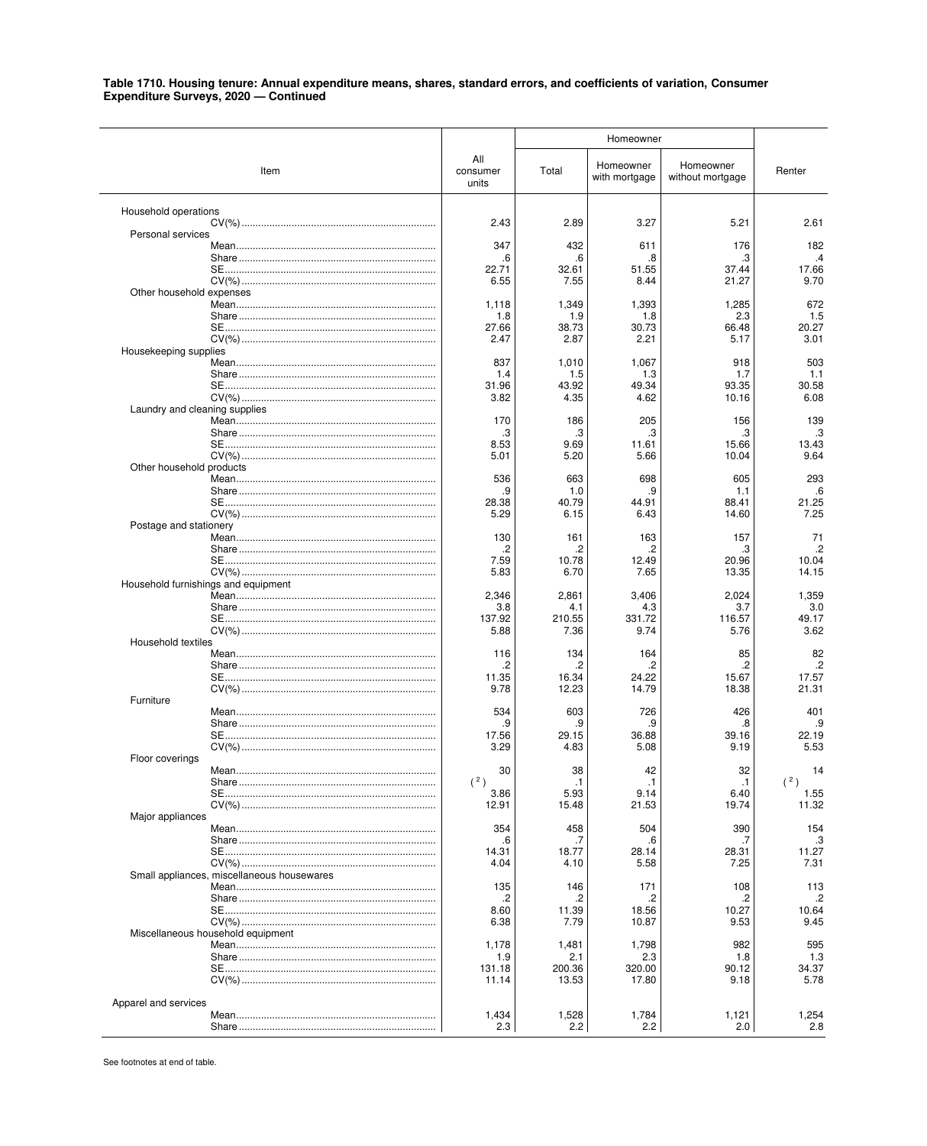|                                            |                          | Homeowner     |                            |                               |                    |
|--------------------------------------------|--------------------------|---------------|----------------------------|-------------------------------|--------------------|
| Item                                       | All<br>consumer<br>units | Total         | Homeowner<br>with mortgage | Homeowner<br>without mortgage | Renter             |
| Household operations                       | 2.43                     | 2.89          | 3.27                       | 5.21                          | 2.61               |
| Personal services                          |                          |               |                            |                               |                    |
|                                            | 347                      | 432           | 611                        | 176                           | 182                |
|                                            | .6<br>22.71              | .6<br>32.61   | .8<br>51.55                | .3<br>37.44                   | $\cdot$ 4<br>17.66 |
|                                            | 6.55                     | 7.55          | 8.44                       | 21.27                         | 9.70               |
| Other household expenses                   | 1,118                    | 1,349         | 1,393                      | 1,285                         | 672                |
|                                            | 1.8                      | 1.9           | 1.8                        | 2.3                           | 1.5                |
|                                            | 27.66                    | 38.73         | 30.73                      | 66.48                         | 20.27              |
| Housekeeping supplies                      | 2.47                     | 2.87          | 2.21                       | 5.17                          | 3.01               |
|                                            | 837                      | 1,010         | 1,067                      | 918                           | 503                |
|                                            | 1.4<br>31.96             | 1.5<br>43.92  | 1.3<br>49.34               | 1.7<br>93.35                  | 1.1<br>30.58       |
|                                            | 3.82                     | 4.35          | 4.62                       | 10.16                         | 6.08               |
| Laundry and cleaning supplies              | 170                      | 186           | 205                        | 156                           | 139                |
|                                            | .3                       | .3            | .3                         | з                             | .3                 |
|                                            | 8.53                     | 9.69          | 11.61                      | 15.66                         | 13.43              |
| Other household products                   | 5.01                     | 5.20          | 5.66                       | 10.04                         | 9.64               |
|                                            | 536                      | 663           | 698                        | 605                           | 293                |
|                                            | .9<br>28.38              | 1.0<br>40.79  | .9<br>44.91                | 1.1<br>88.41                  | .6<br>21.25        |
|                                            | 5.29                     | 6.15          | 6.43                       | 14.60                         | 7.25               |
| Postage and stationery                     |                          |               |                            |                               |                    |
|                                            | 130<br>.2                | 161<br>.2     | 163<br>.2                  | 157<br>.3                     | 71<br>$\cdot$      |
|                                            | 7.59                     | 10.78         | 12.49                      | 20.96                         | 10.04              |
| Household furnishings and equipment        | 5.83                     | 6.70          | 7.65                       | 13.35                         | 14.15              |
|                                            | 2,346                    | 2,861         | 3,406                      | 2,024                         | 1,359              |
|                                            | 3.8<br>137.92            | 4.1<br>210.55 | 4.3<br>331.72              | 3.7<br>116.57                 | 3.0<br>49.17       |
|                                            | 5.88                     | 7.36          | 9.74                       | 5.76                          | 3.62               |
| Household textiles                         |                          |               |                            |                               |                    |
|                                            | 116<br>.2                | 134<br>.2     | 164<br>.2                  | 85<br>2.                      | 82<br>.2           |
|                                            | 11.35                    | 16.34         | 24.22                      | 15.67                         | 17.57              |
| Furniture                                  | 9.78                     | 12.23         | 14.79                      | 18.38                         | 21.31              |
|                                            | 534                      | 603           | 726                        | 426                           | 401                |
|                                            | .9<br>17.56              | .9<br>29.15   | .9<br>36.88                | .8<br>39.16                   | .9<br>22.19        |
|                                            | 3.29                     | 4.83          | 5.08                       | 9.19                          | 5.53               |
| Floor coverings                            | 30                       | 38            | 42                         | 32                            | 14                 |
|                                            | (2)                      | $\cdot$ 1     | $\cdot$ 1                  | $\cdot$ 1                     | (2)                |
|                                            | 3.86                     | 5.93<br>15.48 | 9.14<br>21.53              | 6.40<br>19.74                 | 1.55<br>11.32      |
| Major appliances                           | 12.91                    |               |                            |                               |                    |
|                                            | 354                      | 458           | 504                        | 390                           | 154                |
|                                            | .6<br>14.31              | .7<br>18.77   | .6<br>28.14                | 28.31                         | .3<br>11.27        |
|                                            | 4.04                     | 4.10          | 5.58                       | 7.25                          | 7.31               |
| Small appliances, miscellaneous housewares | 135                      | 146           | 171                        | 108                           | 113                |
|                                            | .2                       | .2            | .2                         | .2                            | $\cdot$            |
|                                            | 8.60<br>6.38             | 11.39<br>7.79 | 18.56<br>10.87             | 10.27<br>9.53                 | 10.64<br>9.45      |
| Miscellaneous household equipment          |                          |               |                            |                               |                    |
|                                            | 1,178                    | 1,481         | 1,798                      | 982                           | 595                |
|                                            | 1.9<br>131.18            | 2.1<br>200.36 | 2.3<br>320.00              | 1.8<br>90.12                  | 1.3<br>34.37       |
|                                            | 11.14                    | 13.53         | 17.80                      | 9.18                          | 5.78               |
| Apparel and services                       |                          |               |                            |                               |                    |
|                                            | 1,434                    | 1,528         | 1,784                      | 1,121                         | 1,254              |
|                                            | 2.3                      | 2.2           | 2.2                        | 2.0                           | 2.8                |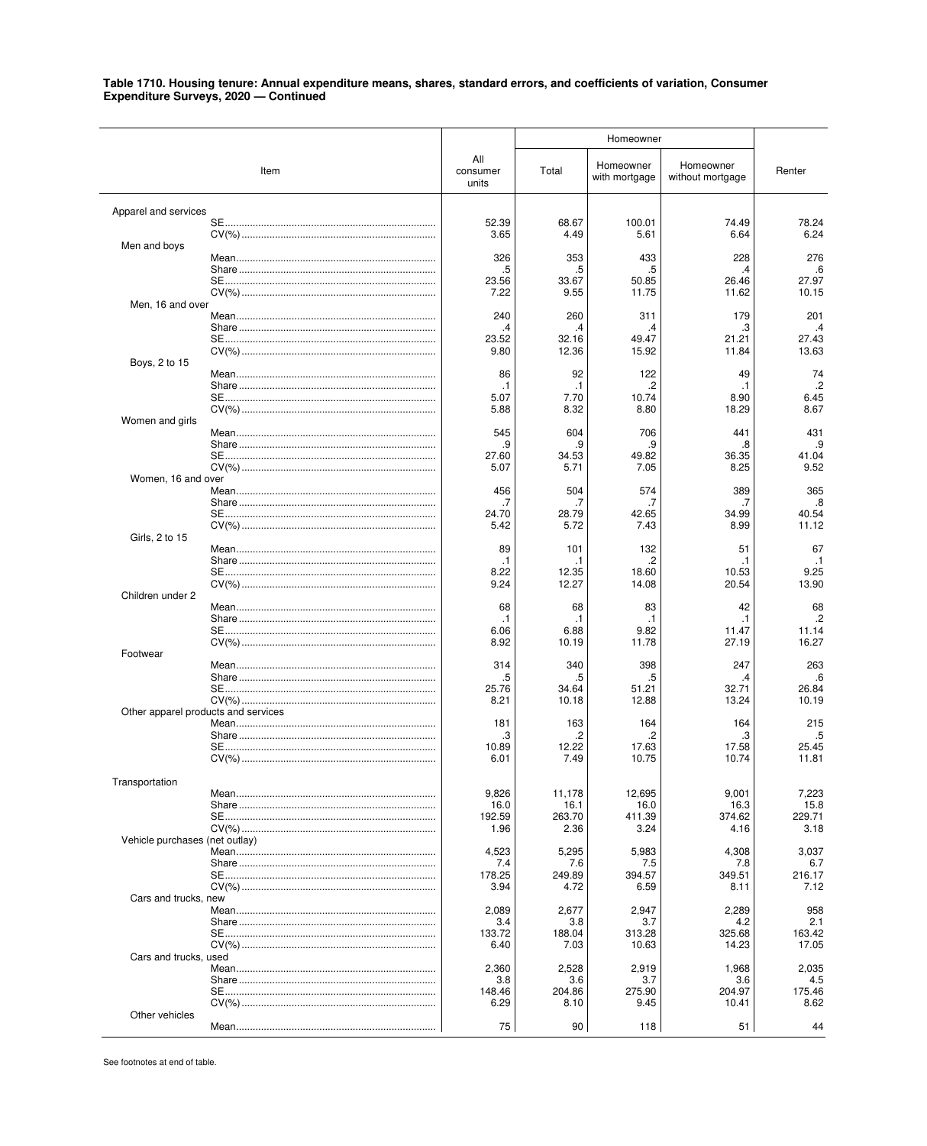#### Homeowner All Homeowner Homeowner Item consumer Total Renter with mortgage without mortgage units Apparel and services 52.39 **SE** 68.67 100.01 78.24 74.49 3.65 4.49 5.61 6.64 6.24 Men and boys 326 353 276 Mean 433 228  $\overline{5}$ 6.<br>27.97 5 .5  $\boldsymbol{\Delta}$  $23.56$  $33.67$  $50.85$  $26.46$ **SE** 11.75 10.15 7.22 9.55 11.62 Men, 16 and over Mean 240 260 311 179 201 Share...  $\mathbf{B}$  $\overline{.4}$ 27.43 **SE** 23.52 32.16 4947 21.21 9.80 12.36 15.92 11.84 13.63 Boys, 2 to 15 Mean. 86 92 122 49 74  $\cdot$ .2  $\cdot$  $\cdot$ 1  $\cdot$ 1  $\cdot$ 1 5.07 7.70 10.74 8.90 **SE....** 6.45 5.88 8.32 8.80 18.29 8.67 Women and girls Mean. 545 604 706 441 431  $.9$ .g .c .8 q **SE.....** 27.60 34.53 49.82  $36.35$ 41.04  $507$ 5.71 7.05 8.25 9.52 Women, 16 and over 456 504 574 389 365 Mean Share that the state of the state of the state of the state of the state of the state of the state of the state of the state of the state of the state of the state of the state of the state of the state of the state of the  $\overline{7}$  $\overline{7}$  $.8$ -7  $40.54$ **SF** 24 70 28.79 42.65 34 99 5.42 5.72 7.43 8.99 11.12 Girls, 2 to 15 89 132 Mean 101 51 67  $\overline{2}$  $\cdot$ 1  $\cdot$ 1 8.22 12.35 18.60 10.53 9.25 9.24 12.27 14.08 20.54 13.90 Children under 2 68 68 83 42 68 Mean.  $.2\phantom{0}$  $\cdot$ 1  $\cdot$ 1 .1  $\cdot$ 1 6.06 6.88 9.82 11.47 11.14  $CV(\% )$ ....... 8.92 10.19 11.78 27.19 16.27 Footwear Mean.. 314 340 398 247 263  $\overline{5}$  $.6$  $.5\,$ 5  $\mathcal{A}$ SE................................... 25.76 34.64  $51.21$  $32.71$ 26.84 10.18 12.88 13.24 10.19  $8.21$ Other apparel products and services 181 215 Mean 163 164 164 Share and the state of the state of the state of the state of the state of the state of the state of the state 3  $\overline{2}$  $\overline{2}$ -3 .5 10.89  $25.45$ **SF** 12.22 17.63 17.58 7.49 10.75 10.74 11.81 6.01 Transportation 9,826 11,178 12,695 9,001 7,223 Mean. 16.0  $16.1$ 16.0 16.3 15.8 **SF** 192.59 263.70 411.39 374.62 229.71 1.96 2.36  $3.24$ 4.16  $3.18$ (net outlay) Vehicle purchases Mean........ 4,523 5,295 5,983 4,308 3,037  $7.4$ 7.6  $7.5$ 7.8 Share. 6.7 178.25 249.89 394.57 349.51 216.17  $CV(% )$ ............. 3.94 4.72 6.59 8.11 7.12 Cars and trucks, new Mean. 2,089 2,677 2,947 2,289 958 Share and the state of the state of the state of the state of the state of the state of the state of the state of the state of the state of the state of the state of the state of the state of the state of the state of the  $3.4$  $38$  $37$ 42  $21$ 133.72 188.04  $313.28$  $325.68$ 163.42  $SE$ ....  $CV(\% )$ 6.40 7.03  $1063$ 14 23 17.05 Cars and trucks, used 2,360 2,528 2,035 Mean 2,919 1,968  $38$  $36$  $37$  $36$ 4.5 275.90 **SF** 14846 204.86 204.97 175.46 6.29 8.10 9.45 10.41 8.62 Other vehicles  $75\,$ 90 51 Mean 118 44

### Table 1710. Housing tenure: Annual expenditure means, shares, standard errors, and coefficients of variation, Consumer Expenditure Surveys, 2020 - Continued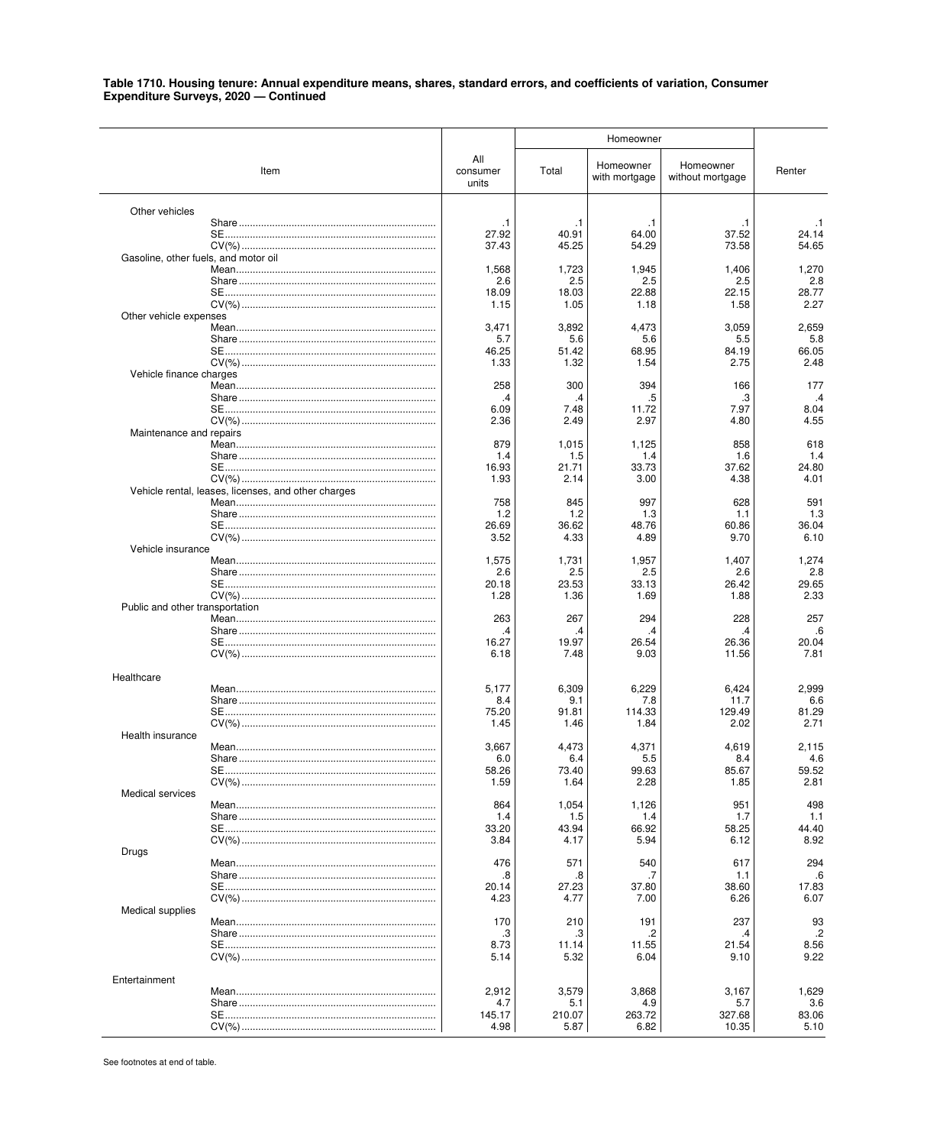|                                      |                                                     |                          | Homeowner      |                            |                               |                |
|--------------------------------------|-----------------------------------------------------|--------------------------|----------------|----------------------------|-------------------------------|----------------|
|                                      | Item                                                | All<br>consumer<br>units | Total          | Homeowner<br>with mortgage | Homeowner<br>without mortgage | Renter         |
| Other vehicles                       |                                                     |                          |                |                            |                               |                |
|                                      |                                                     | $\cdot$ 1                | $\cdot$ 1      | $\cdot$ 1                  | .1                            | $\cdot$ 1      |
|                                      |                                                     | 27.92<br>37.43           | 40.91<br>45.25 | 64.00<br>54.29             | 37.52<br>73.58                | 24.14<br>54.65 |
| Gasoline, other fuels, and motor oil |                                                     |                          |                |                            |                               |                |
|                                      |                                                     | 1,568                    | 1,723          | 1,945                      | 1,406                         | 1,270          |
|                                      |                                                     | 2.6<br>18.09             | 2.5<br>18.03   | 2.5<br>22.88               | 2.5<br>22.15                  | 2.8<br>28.77   |
|                                      |                                                     | 1.15                     | 1.05           | 1.18                       | 1.58                          | 2.27           |
| Other vehicle expenses               |                                                     |                          |                |                            |                               |                |
|                                      |                                                     | 3,471<br>5.7             | 3,892<br>5.6   | 4,473<br>5.6               | 3,059<br>5.5                  | 2,659<br>5.8   |
|                                      |                                                     | 46.25                    | 51.42          | 68.95                      | 84.19                         | 66.05          |
|                                      |                                                     | 1.33                     | 1.32           | 1.54                       | 2.75                          | 2.48           |
| Vehicle finance charges              |                                                     | 258                      | 300            | 394                        |                               | 177            |
|                                      |                                                     | .4                       | .4             | .5                         | 166<br>.3                     | .4             |
|                                      |                                                     | 6.09                     | 7.48           | 11.72                      | 7.97                          | 8.04           |
|                                      |                                                     | 2.36                     | 2.49           | 2.97                       | 4.80                          | 4.55           |
| Maintenance and repairs              |                                                     | 879                      | 1,015          | 1,125                      | 858                           | 618            |
|                                      |                                                     | 1.4                      | 1.5            | 1.4                        | 1.6                           | 1.4            |
|                                      |                                                     | 16.93                    | 21.71          | 33.73                      | 37.62                         | 24.80          |
|                                      | Vehicle rental, leases, licenses, and other charges | 1.93                     | 2.14           | 3.00                       | 4.38                          | 4.01           |
|                                      |                                                     | 758                      | 845            | 997                        | 628                           | 591            |
|                                      |                                                     | 1.2                      | 1.2            | 1.3                        | 1.1                           | 1.3            |
|                                      |                                                     | 26.69<br>3.52            | 36.62<br>4.33  | 48.76<br>4.89              | 60.86<br>9.70                 | 36.04<br>6.10  |
| Vehicle insurance                    |                                                     |                          |                |                            |                               |                |
|                                      |                                                     | 1,575                    | 1,731          | 1,957                      | 1,407                         | 1,274          |
|                                      |                                                     | 2.6                      | 2.5            | 2.5                        | 2.6                           | 2.8            |
|                                      |                                                     | 20.18<br>1.28            | 23.53<br>1.36  | 33.13<br>1.69              | 26.42<br>1.88                 | 29.65<br>2.33  |
| Public and other transportation      |                                                     |                          |                |                            |                               |                |
|                                      |                                                     | 263                      | 267            | 294                        | 228                           | 257            |
|                                      |                                                     | $\cdot^4$<br>16.27       | .4<br>19.97    | .4<br>26.54                | .4<br>26.36                   | .6<br>20.04    |
|                                      |                                                     | 6.18                     | 7.48           | 9.03                       | 11.56                         | 7.81           |
|                                      |                                                     |                          |                |                            |                               |                |
| Healthcare                           |                                                     | 5,177                    | 6,309          | 6,229                      | 6,424                         | 2,999          |
|                                      |                                                     | 8.4                      | 9.1            | 7.8                        | 11.7                          | 6.6            |
|                                      |                                                     | 75.20                    | 91.81          | 114.33                     | 129.49                        | 81.29          |
| Health insurance                     |                                                     | 1.45                     | 1.46           | 1.84                       | 2.02                          | 2.71           |
|                                      |                                                     | 3,667                    | 4,473          | 4,371                      | 4,619                         | 2,115          |
|                                      |                                                     | 6.0                      | 6.4            | 5.5                        | 8.4                           | 4.6            |
|                                      |                                                     | 58.26<br>1.59            | 73.40<br>1.64  | 99.63<br>2.28              | 85.67<br>1.85                 | 59.52<br>2.81  |
| <b>Medical services</b>              |                                                     |                          |                |                            |                               |                |
|                                      |                                                     | 864                      | 1,054          | 1,126                      | 951                           | 498            |
|                                      |                                                     | 1.4<br>33.20             | 1.5<br>43.94   | 1.4<br>66.92               | 1.7<br>58.25                  | 1.1<br>44.40   |
|                                      |                                                     | 3.84                     | 4.17           | 5.94                       | 6.12                          | 8.92           |
| Drugs                                |                                                     |                          |                |                            |                               |                |
|                                      |                                                     | 476<br>.8                | 571<br>.8      | 540                        | 617<br>1.1                    | 294<br>.6      |
|                                      |                                                     | 20.14                    | 27.23          | 37.80                      | 38.60                         | 17.83          |
|                                      |                                                     | 4.23                     | 4.77           | 7.00                       | 6.26                          | 6.07           |
| Medical supplies                     |                                                     | 170                      | 210            | 191                        | 237                           | 93             |
|                                      |                                                     | .3                       | .3             | .2                         | .4                            | $\cdot$ .2     |
|                                      |                                                     | 8.73                     | 11.14          | 11.55                      | 21.54                         | 8.56           |
|                                      |                                                     | 5.14                     | 5.32           | 6.04                       | 9.10                          | 9.22           |
| Entertainment                        |                                                     |                          |                |                            |                               |                |
|                                      |                                                     | 2,912                    | 3,579          | 3,868                      | 3,167                         | 1,629          |
|                                      |                                                     | 4.7                      | 5.1            | 4.9                        | 5.7                           | 3.6            |
|                                      |                                                     | 145.17<br>4.98           | 210.07<br>5.87 | 263.72<br>6.82             | 327.68<br>10.35               | 83.06<br>5.10  |
|                                      |                                                     |                          |                |                            |                               |                |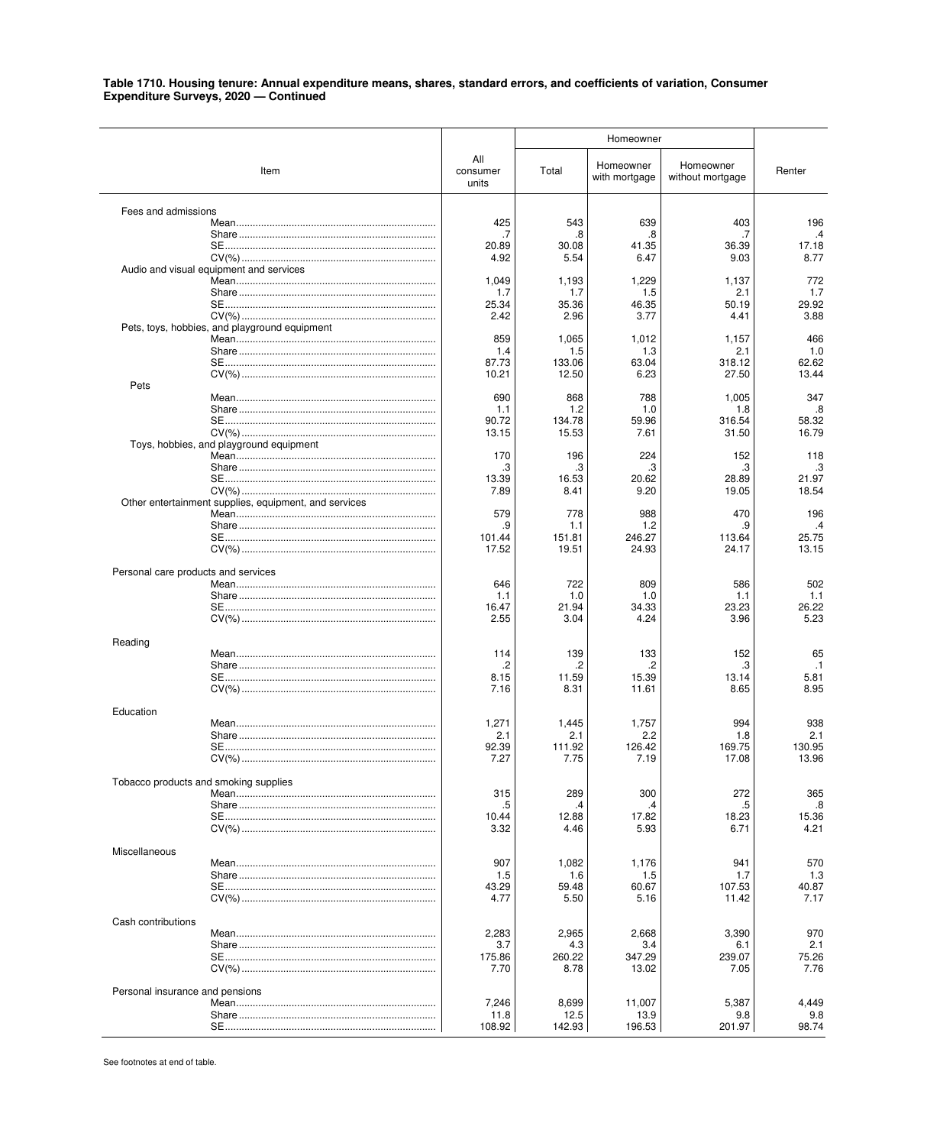|                                       |                                                       |                          | Homeowner       |                            |                               |                |
|---------------------------------------|-------------------------------------------------------|--------------------------|-----------------|----------------------------|-------------------------------|----------------|
|                                       | Item                                                  | All<br>consumer<br>units | Total           | Homeowner<br>with mortgage | Homeowner<br>without mortgage | Renter         |
| Fees and admissions                   |                                                       |                          |                 |                            |                               |                |
|                                       |                                                       | 425                      | 543             | 639                        | 403                           | 196            |
|                                       |                                                       | .7<br>20.89              | .8<br>30.08     | .8<br>41.35                | .7<br>36.39                   | .4<br>17.18    |
|                                       |                                                       | 4.92                     | 5.54            | 6.47                       | 9.03                          | 8.77           |
|                                       | Audio and visual equipment and services               |                          |                 |                            |                               |                |
|                                       |                                                       | 1,049                    | 1,193           | 1,229                      | 1,137                         | 772            |
|                                       |                                                       | 1.7<br>25.34             | 1.7<br>35.36    | 1.5<br>46.35               | 2.1<br>50.19                  | 1.7<br>29.92   |
|                                       |                                                       | 2.42                     | 2.96            | 3.77                       | 4.41                          | 3.88           |
|                                       | Pets, toys, hobbies, and playground equipment         |                          |                 |                            |                               |                |
|                                       |                                                       | 859                      | 1,065           | 1,012                      | 1,157                         | 466            |
|                                       |                                                       | 1.4                      | 1.5             | 1.3<br>63.04               | 2.1<br>318.12                 | 1.0<br>62.62   |
|                                       |                                                       | 87.73<br>10.21           | 133.06<br>12.50 | 6.23                       | 27.50                         | 13.44          |
| Pets                                  |                                                       |                          |                 |                            |                               |                |
|                                       |                                                       | 690                      | 868             | 788                        | 1,005                         | 347            |
|                                       |                                                       | 1.1                      | 1.2             | 1.0                        | 1.8                           | .8             |
|                                       |                                                       | 90.72<br>13.15           | 134.78<br>15.53 | 59.96<br>7.61              | 316.54<br>31.50               | 58.32<br>16.79 |
|                                       | Toys, hobbies, and playground equipment               |                          |                 |                            |                               |                |
|                                       |                                                       | 170                      | 196             | 224                        | 152                           | 118            |
|                                       |                                                       | .3                       | .3              | .3                         | .3                            | .3             |
|                                       |                                                       | 13.39                    | 16.53           | 20.62                      | 28.89                         | 21.97          |
|                                       | Other entertainment supplies, equipment, and services | 7.89                     | 8.41            | 9.20                       | 19.05                         | 18.54          |
|                                       |                                                       | 579                      | 778             | 988                        | 470                           | 196            |
|                                       |                                                       | .9                       | 1.1             | 1.2                        | .9                            | $\cdot$        |
|                                       |                                                       | 101.44                   | 151.81          | 246.27                     | 113.64                        | 25.75          |
|                                       |                                                       | 17.52                    | 19.51           | 24.93                      | 24.17                         | 13.15          |
| Personal care products and services   |                                                       |                          |                 |                            |                               |                |
|                                       |                                                       | 646                      | 722             | 809                        | 586                           | 502            |
|                                       |                                                       | 1.1                      | 1.0             | 1.0                        | 1.1                           | 1.1            |
|                                       |                                                       | 16.47                    | 21.94           | 34.33                      | 23.23                         | 26.22          |
|                                       |                                                       | 2.55                     | 3.04            | 4.24                       | 3.96                          | 5.23           |
| Reading                               |                                                       |                          |                 |                            |                               |                |
|                                       |                                                       | 114                      | 139             | 133                        | 152                           | 65             |
|                                       |                                                       | .2                       | .2              | .2                         | .3                            | $\cdot$ 1      |
|                                       |                                                       | 8.15<br>7.16             | 11.59<br>8.31   | 15.39<br>11.61             | 13.14<br>8.65                 | 5.81<br>8.95   |
|                                       |                                                       |                          |                 |                            |                               |                |
| Education                             |                                                       |                          |                 |                            |                               |                |
|                                       |                                                       | 1,271                    | 1,445           | 1,757                      | 994                           | 938            |
|                                       |                                                       | 2.1<br>92.39             | 2.1<br>111.92   | 2.2<br>126.42              | 1.8<br>169.75                 | 2.1<br>130.95  |
|                                       |                                                       | 7.27                     | 7.75            | 7.19                       | 17.08                         | 13.96          |
|                                       |                                                       |                          |                 |                            |                               |                |
| Tobacco products and smoking supplies |                                                       |                          |                 |                            |                               |                |
|                                       |                                                       | 315                      | 289             | 300                        | 272                           | 365            |
|                                       |                                                       | .5<br>10.44              | .4<br>12.88     | .4<br>17.82                | .5<br>18.23                   | .8<br>15.36    |
|                                       |                                                       | 3.32                     | 4.46            | 5.93                       | 6.71                          | 4.21           |
|                                       |                                                       |                          |                 |                            |                               |                |
| Miscellaneous                         |                                                       |                          |                 |                            |                               |                |
|                                       |                                                       | 907<br>1.5               | 1,082<br>1.6    | 1,176<br>1.5               | 941<br>1.7                    | 570<br>1.3     |
|                                       |                                                       | 43.29                    | 59.48           | 60.67                      | 107.53                        | 40.87          |
|                                       |                                                       | 4.77                     | 5.50            | 5.16                       | 11.42                         | 7.17           |
|                                       |                                                       |                          |                 |                            |                               |                |
| Cash contributions                    |                                                       | 2,283                    | 2,965           | 2,668                      | 3,390                         | 970            |
|                                       |                                                       | 3.7                      | 4.3             | 3.4                        | 6.1                           | 2.1            |
|                                       |                                                       | 175.86                   | 260.22          | 347.29                     | 239.07                        | 75.26          |
|                                       |                                                       | 7.70                     | 8.78            | 13.02                      | 7.05                          | 7.76           |
|                                       |                                                       |                          |                 |                            |                               |                |
| Personal insurance and pensions       |                                                       | 7,246                    | 8,699           | 11,007                     | 5,387                         | 4,449          |
|                                       |                                                       | 11.8                     | 12.5            | 13.9                       | 9.8                           | 9.8            |
|                                       |                                                       | 108.92                   | 142.93          | 196.53                     | 201.97                        | 98.74          |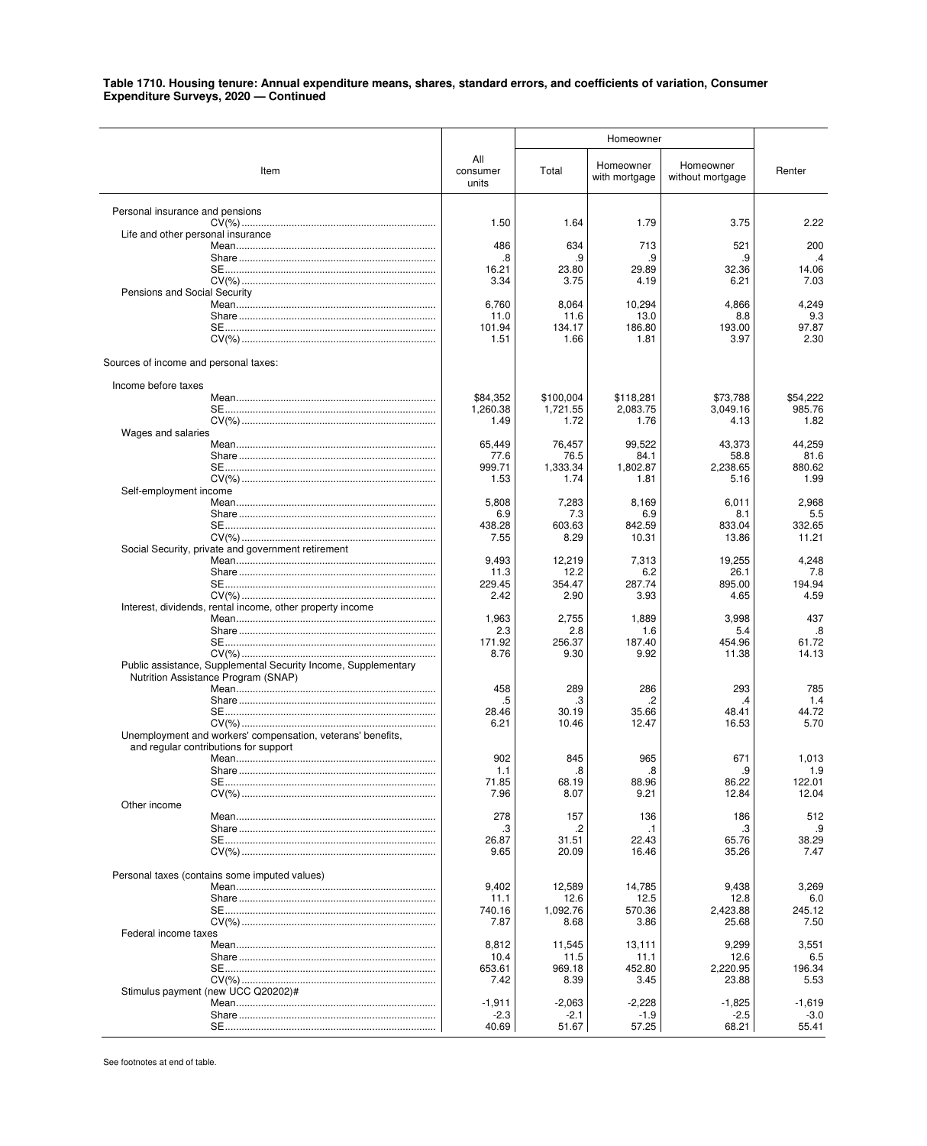|                                                                                                       |                          | Homeowner             |                            |                               |                    |
|-------------------------------------------------------------------------------------------------------|--------------------------|-----------------------|----------------------------|-------------------------------|--------------------|
| Item                                                                                                  | All<br>consumer<br>units | Total                 | Homeowner<br>with mortgage | Homeowner<br>without mortgage | Renter             |
| Personal insurance and pensions                                                                       |                          |                       |                            |                               |                    |
| Life and other personal insurance                                                                     | 1.50                     | 1.64                  | 1.79                       | 3.75                          | 2.22               |
|                                                                                                       | 486                      | 634                   | 713                        | 521                           | 200                |
|                                                                                                       | .8<br>16.21              | .9<br>23.80           | .9<br>29.89                | .9<br>32.36                   | .4<br>14.06        |
| Pensions and Social Security                                                                          | 3.34                     | 3.75                  | 4.19                       | 6.21                          | 7.03               |
|                                                                                                       | 6,760                    | 8,064                 | 10,294                     | 4,866                         | 4,249              |
|                                                                                                       | 11.0<br>101.94           | 11.6<br>134.17        | 13.0<br>186.80             | 8.8<br>193.00                 | 9.3<br>97.87       |
|                                                                                                       | 1.51                     | 1.66                  | 1.81                       | 3.97                          | 2.30               |
| Sources of income and personal taxes:                                                                 |                          |                       |                            |                               |                    |
| Income before taxes                                                                                   |                          |                       |                            |                               |                    |
|                                                                                                       | \$84,352<br>1,260.38     | \$100,004<br>1,721.55 | \$118,281<br>2,083.75      | \$73,788<br>3.049.16          | \$54,222<br>985.76 |
|                                                                                                       | 1.49                     | 1.72                  | 1.76                       | 4.13                          | 1.82               |
| Wages and salaries                                                                                    | 65.449                   | 76,457                | 99,522                     | 43,373                        | 44,259             |
|                                                                                                       | 77.6                     | 76.5                  | 84.1                       | 58.8                          | 81.6               |
|                                                                                                       | 999.71<br>1.53           | 1,333.34<br>1.74      | 1,802.87<br>1.81           | 2,238.65<br>5.16              | 880.62<br>1.99     |
| Self-employment income                                                                                |                          |                       |                            |                               |                    |
|                                                                                                       | 5,808<br>6.9             | 7,283<br>7.3          | 8,169<br>6.9               | 6,011<br>8.1                  | 2,968<br>5.5       |
|                                                                                                       | 438.28                   | 603.63                | 842.59                     | 833.04                        | 332.65             |
| Social Security, private and government retirement                                                    | 7.55                     | 8.29                  | 10.31                      | 13.86                         | 11.21              |
|                                                                                                       | 9,493<br>11.3            | 12,219<br>12.2        | 7,313<br>6.2               | 19,255<br>26.1                | 4,248<br>7.8       |
|                                                                                                       | 229.45                   | 354.47                | 287.74                     | 895.00                        | 194.94             |
| Interest, dividends, rental income, other property income                                             | 2.42                     | 2.90                  | 3.93                       | 4.65                          | 4.59               |
|                                                                                                       | 1,963                    | 2,755                 | 1,889                      | 3,998                         | 437                |
|                                                                                                       | 2.3<br>171.92            | 2.8<br>256.37         | 1.6<br>187.40              | 5.4<br>454.96                 | .8<br>61.72        |
|                                                                                                       | 8.76                     | 9.30                  | 9.92                       | 11.38                         | 14.13              |
| Public assistance, Supplemental Security Income, Supplementary<br>Nutrition Assistance Program (SNAP) |                          |                       |                            |                               |                    |
|                                                                                                       | 458                      | 289                   | 286                        | 293                           | 785                |
|                                                                                                       | .5<br>28.46              | .3<br>30.19           | .2<br>35.66                | .4<br>48.41                   | 1.4<br>44.72       |
| Unemployment and workers' compensation, veterans' benefits,                                           | 6.21                     | 10.46                 | 12.47                      | 16.53                         | 5.70               |
| and regular contributions for support                                                                 |                          |                       |                            |                               |                    |
|                                                                                                       | 902<br>1.1               | 845<br>8.             | 965<br>.8                  | 671<br>9                      | 1,013<br>1.9       |
|                                                                                                       | 71.85                    | 68.19                 | 88.96                      | 86.22                         | 122.01             |
| Other income                                                                                          | 7.96                     | 8.07                  | 9.21                       | 12.84                         | 12.04              |
|                                                                                                       | 278                      | 157                   | 136                        | 186                           | 512                |
|                                                                                                       | .3<br>26.87              | .2<br>31.51           | $\cdot$ 1<br>22.43         | .3<br>65.76                   | .9<br>38.29        |
|                                                                                                       | 9.65                     | 20.09                 | 16.46                      | 35.26                         | 7.47               |
| Personal taxes (contains some imputed values)                                                         |                          |                       |                            |                               |                    |
|                                                                                                       | 9,402<br>11.1            | 12,589<br>12.6        | 14,785<br>12.5             | 9,438<br>12.8                 | 3,269<br>6.0       |
|                                                                                                       | 740.16                   | 1,092.76              | 570.36                     | 2,423.88                      | 245.12             |
| Federal income taxes                                                                                  | 7.87                     | 8.68                  | 3.86                       | 25.68                         | 7.50               |
|                                                                                                       | 8,812                    | 11,545                | 13,111                     | 9,299                         | 3,551              |
|                                                                                                       | 10.4<br>653.61           | 11.5<br>969.18        | 11.1<br>452.80             | 12.6<br>2,220.95              | 6.5<br>196.34      |
|                                                                                                       | 7.42                     | 8.39                  | 3.45                       | 23.88                         | 5.53               |
| Stimulus payment (new UCC Q20202)#                                                                    | $-1,911$                 | $-2,063$              | $-2,228$                   | $-1,825$                      | $-1,619$           |
|                                                                                                       | $-2.3$<br>40.69          | -2.1<br>51.67         | $-1.9$<br>57.25            | $-2.5$<br>68.21               | $-3.0$<br>55.41    |
|                                                                                                       |                          |                       |                            |                               |                    |